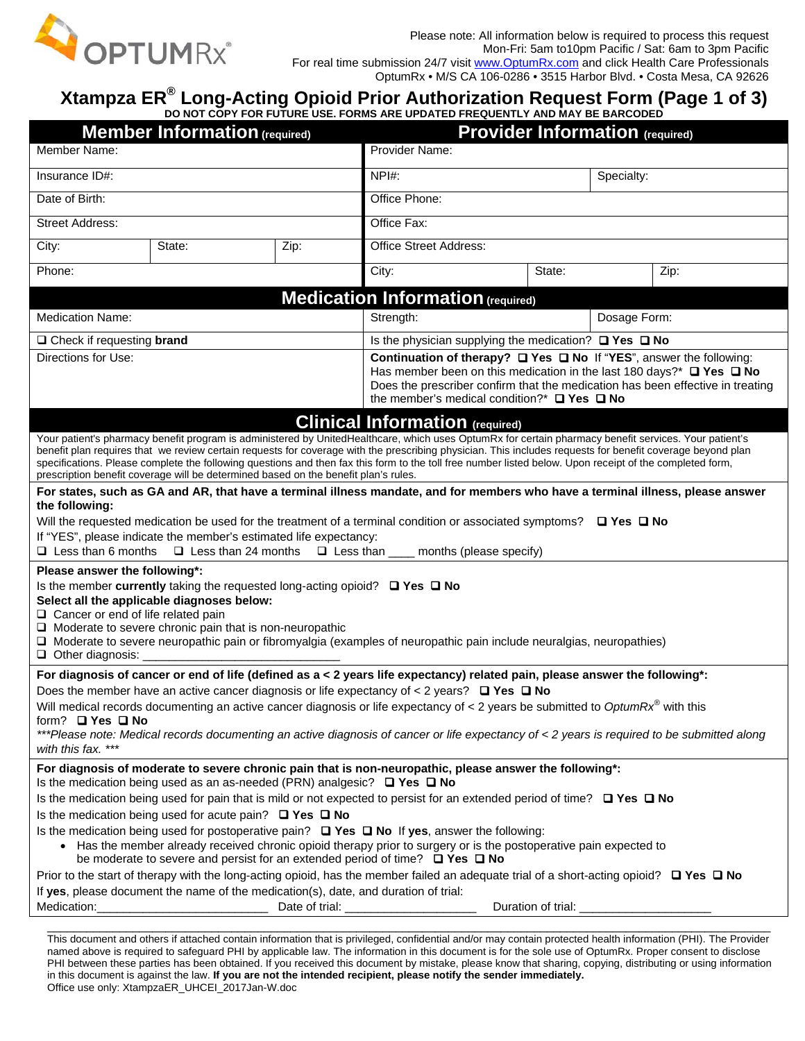

## **Xtampza ER® Long-Acting Opioid Prior Authorization Request Form (Page 1 of 3)**

**DO NOT COPY FOR FUTURE USE. FORMS ARE UPDATED FREQUENTLY AND MAY BE BARCODED**

| <b>Member Information (required)</b>                                                                                                                                                                                                                                                                                                                                                                                                                                                                                                                                                                             | <b>Provider Information (required)</b>                                                                                                                                                                                                                                                                                         |      |                                                                 |  |        |            |      |  |
|------------------------------------------------------------------------------------------------------------------------------------------------------------------------------------------------------------------------------------------------------------------------------------------------------------------------------------------------------------------------------------------------------------------------------------------------------------------------------------------------------------------------------------------------------------------------------------------------------------------|--------------------------------------------------------------------------------------------------------------------------------------------------------------------------------------------------------------------------------------------------------------------------------------------------------------------------------|------|-----------------------------------------------------------------|--|--------|------------|------|--|
| Member Name:                                                                                                                                                                                                                                                                                                                                                                                                                                                                                                                                                                                                     |                                                                                                                                                                                                                                                                                                                                |      | Provider Name:                                                  |  |        |            |      |  |
| Insurance ID#:                                                                                                                                                                                                                                                                                                                                                                                                                                                                                                                                                                                                   |                                                                                                                                                                                                                                                                                                                                |      | $NPI#$ :                                                        |  |        | Specialty: |      |  |
| Date of Birth:                                                                                                                                                                                                                                                                                                                                                                                                                                                                                                                                                                                                   |                                                                                                                                                                                                                                                                                                                                |      | Office Phone:                                                   |  |        |            |      |  |
| <b>Street Address:</b>                                                                                                                                                                                                                                                                                                                                                                                                                                                                                                                                                                                           |                                                                                                                                                                                                                                                                                                                                |      | Office Fax:                                                     |  |        |            |      |  |
| City:                                                                                                                                                                                                                                                                                                                                                                                                                                                                                                                                                                                                            | State:                                                                                                                                                                                                                                                                                                                         | Zip: | Office Street Address:                                          |  |        |            |      |  |
| Phone:                                                                                                                                                                                                                                                                                                                                                                                                                                                                                                                                                                                                           |                                                                                                                                                                                                                                                                                                                                |      | City:                                                           |  | State: |            | Zip: |  |
|                                                                                                                                                                                                                                                                                                                                                                                                                                                                                                                                                                                                                  |                                                                                                                                                                                                                                                                                                                                |      | <b>Medication Information (required)</b>                        |  |        |            |      |  |
| <b>Medication Name:</b>                                                                                                                                                                                                                                                                                                                                                                                                                                                                                                                                                                                          |                                                                                                                                                                                                                                                                                                                                |      | Dosage Form:<br>Strength:                                       |  |        |            |      |  |
| $\Box$ Check if requesting <b>brand</b>                                                                                                                                                                                                                                                                                                                                                                                                                                                                                                                                                                          |                                                                                                                                                                                                                                                                                                                                |      | Is the physician supplying the medication? $\Box$ Yes $\Box$ No |  |        |            |      |  |
| Directions for Use:                                                                                                                                                                                                                                                                                                                                                                                                                                                                                                                                                                                              | Continuation of therapy? □ Yes □ No If "YES", answer the following:<br>Has member been on this medication in the last 180 days?* $\Box$ Yes $\Box$ No<br>Does the prescriber confirm that the medication has been effective in treating<br>the member's medical condition?* $\Box$ Yes $\Box$ No                               |      |                                                                 |  |        |            |      |  |
|                                                                                                                                                                                                                                                                                                                                                                                                                                                                                                                                                                                                                  |                                                                                                                                                                                                                                                                                                                                |      |                                                                 |  |        |            |      |  |
| <b>Clinical Information</b> (required)<br>Your patient's pharmacy benefit program is administered by UnitedHealthcare, which uses OptumRx for certain pharmacy benefit services. Your patient's<br>benefit plan requires that we review certain requests for coverage with the prescribing physician. This includes requests for benefit coverage beyond plan<br>specifications. Please complete the following questions and then fax this form to the toll free number listed below. Upon receipt of the completed form,<br>prescription benefit coverage will be determined based on the benefit plan's rules. |                                                                                                                                                                                                                                                                                                                                |      |                                                                 |  |        |            |      |  |
| the following:                                                                                                                                                                                                                                                                                                                                                                                                                                                                                                                                                                                                   | For states, such as GA and AR, that have a terminal illness mandate, and for members who have a terminal illness, please answer                                                                                                                                                                                                |      |                                                                 |  |        |            |      |  |
| Will the requested medication be used for the treatment of a terminal condition or associated symptoms? $\Box$ Yes $\Box$ No                                                                                                                                                                                                                                                                                                                                                                                                                                                                                     |                                                                                                                                                                                                                                                                                                                                |      |                                                                 |  |        |            |      |  |
|                                                                                                                                                                                                                                                                                                                                                                                                                                                                                                                                                                                                                  | If "YES", please indicate the member's estimated life expectancy:                                                                                                                                                                                                                                                              |      |                                                                 |  |        |            |      |  |
| $\Box$ Less than 6 months<br>$\Box$ Less than 24 months<br>$\Box$ Less than<br>months (please specify)                                                                                                                                                                                                                                                                                                                                                                                                                                                                                                           |                                                                                                                                                                                                                                                                                                                                |      |                                                                 |  |        |            |      |  |
| Please answer the following*:<br>$\Box$ Cancer or end of life related pain<br>$\Box$ Other diagnosis:                                                                                                                                                                                                                                                                                                                                                                                                                                                                                                            | Is the member currently taking the requested long-acting opioid? $\Box$ Yes $\Box$ No<br>Select all the applicable diagnoses below:<br>$\Box$ Moderate to severe chronic pain that is non-neuropathic<br>□ Moderate to severe neuropathic pain or fibromyalgia (examples of neuropathic pain include neuralgias, neuropathies) |      |                                                                 |  |        |            |      |  |
|                                                                                                                                                                                                                                                                                                                                                                                                                                                                                                                                                                                                                  | For diagnosis of cancer or end of life (defined as a < 2 years life expectancy) related pain, please answer the following*:                                                                                                                                                                                                    |      |                                                                 |  |        |            |      |  |
| Does the member have an active cancer diagnosis or life expectancy of $\lt$ 2 years? $\Box$ Yes $\Box$ No                                                                                                                                                                                                                                                                                                                                                                                                                                                                                                        |                                                                                                                                                                                                                                                                                                                                |      |                                                                 |  |        |            |      |  |
| Will medical records documenting an active cancer diagnosis or life expectancy of < 2 years be submitted to OptumRx <sup>®</sup> with this<br>form? □ Yes □ No<br>***Please note: Medical records documenting an active diagnosis of cancer or life expectancy of < 2 years is required to be submitted along<br>with this fax. ***                                                                                                                                                                                                                                                                              |                                                                                                                                                                                                                                                                                                                                |      |                                                                 |  |        |            |      |  |
|                                                                                                                                                                                                                                                                                                                                                                                                                                                                                                                                                                                                                  | For diagnosis of moderate to severe chronic pain that is non-neuropathic, please answer the following*:<br>Is the medication being used as an as-needed (PRN) analgesic? $\Box$ Yes $\Box$ No                                                                                                                                  |      |                                                                 |  |        |            |      |  |
| Is the medication being used for pain that is mild or not expected to persist for an extended period of time? $\Box$ Yes $\Box$ No                                                                                                                                                                                                                                                                                                                                                                                                                                                                               |                                                                                                                                                                                                                                                                                                                                |      |                                                                 |  |        |            |      |  |
| Is the medication being used for acute pain? $\Box$ Yes $\Box$ No                                                                                                                                                                                                                                                                                                                                                                                                                                                                                                                                                |                                                                                                                                                                                                                                                                                                                                |      |                                                                 |  |        |            |      |  |
| Is the medication being used for postoperative pain? $\Box$ Yes $\Box$ No If yes, answer the following:                                                                                                                                                                                                                                                                                                                                                                                                                                                                                                          |                                                                                                                                                                                                                                                                                                                                |      |                                                                 |  |        |            |      |  |
| • Has the member already received chronic opioid therapy prior to surgery or is the postoperative pain expected to<br>be moderate to severe and persist for an extended period of time? $\Box$ Yes $\Box$ No                                                                                                                                                                                                                                                                                                                                                                                                     |                                                                                                                                                                                                                                                                                                                                |      |                                                                 |  |        |            |      |  |
| Prior to the start of therapy with the long-acting opioid, has the member failed an adequate trial of a short-acting opioid? $\Box$ Yes $\Box$ No                                                                                                                                                                                                                                                                                                                                                                                                                                                                |                                                                                                                                                                                                                                                                                                                                |      |                                                                 |  |        |            |      |  |
| If yes, please document the name of the medication(s), date, and duration of trial:                                                                                                                                                                                                                                                                                                                                                                                                                                                                                                                              |                                                                                                                                                                                                                                                                                                                                |      |                                                                 |  |        |            |      |  |
|                                                                                                                                                                                                                                                                                                                                                                                                                                                                                                                                                                                                                  |                                                                                                                                                                                                                                                                                                                                |      |                                                                 |  |        |            |      |  |
|                                                                                                                                                                                                                                                                                                                                                                                                                                                                                                                                                                                                                  |                                                                                                                                                                                                                                                                                                                                |      |                                                                 |  |        |            |      |  |

This document and others if attached contain information that is privileged, confidential and/or may contain protected health information (PHI). The Provider named above is required to safeguard PHI by applicable law. The information in this document is for the sole use of OptumRx. Proper consent to disclose PHI between these parties has been obtained. If you received this document by mistake, please know that sharing, copying, distributing or using information in this document is against the law. **If you are not the intended recipient, please notify the sender immediately.** Office use only: XtampzaER\_UHCEI\_2017Jan-W.doc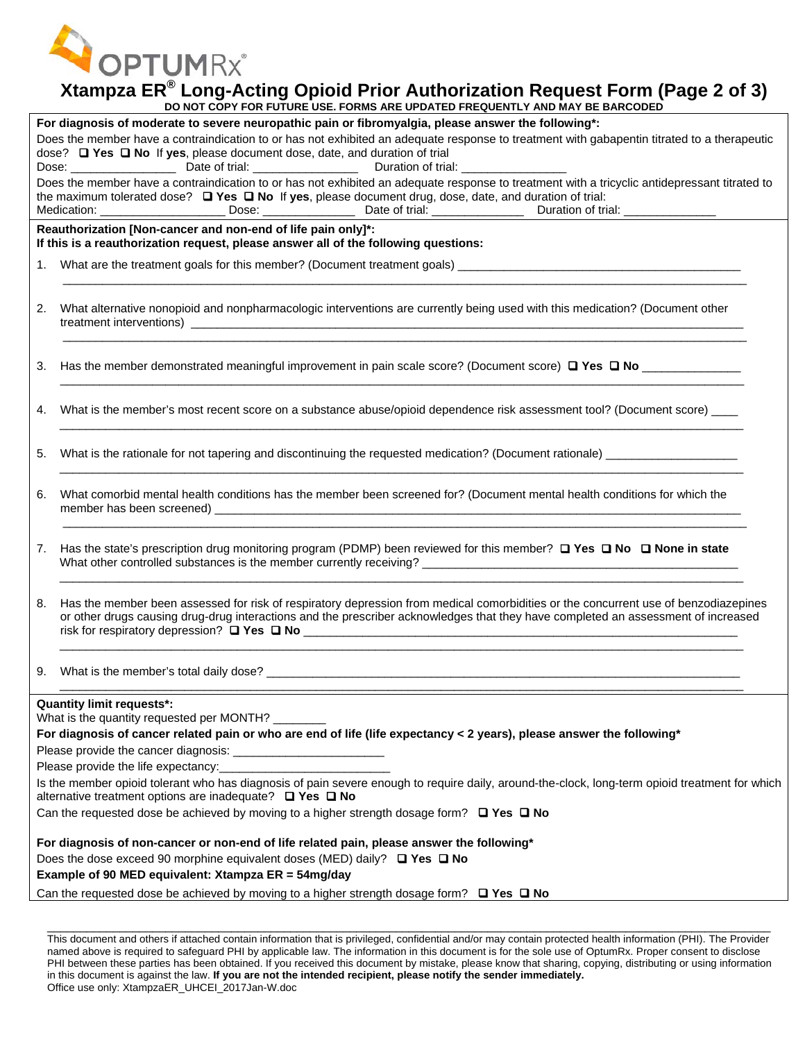**OPTUMRx®** 

## **Xtampza ER® Long-Acting Opioid Prior Authorization Request Form (Page 2 of 3)**

|                                                                                                                                                                                                                           | DO NOT COPY FOR FUTURE USE. FORMS ARE UPDATED FREQUENTLY AND MAY BE BARCODED                                                                                                                                                                                                                                                                                                                                                                                                                                                                               |  |  |  |  |
|---------------------------------------------------------------------------------------------------------------------------------------------------------------------------------------------------------------------------|------------------------------------------------------------------------------------------------------------------------------------------------------------------------------------------------------------------------------------------------------------------------------------------------------------------------------------------------------------------------------------------------------------------------------------------------------------------------------------------------------------------------------------------------------------|--|--|--|--|
|                                                                                                                                                                                                                           | For diagnosis of moderate to severe neuropathic pain or fibromyalgia, please answer the following*:                                                                                                                                                                                                                                                                                                                                                                                                                                                        |  |  |  |  |
| Does the member have a contraindication to or has not exhibited an adequate response to treatment with gabapentin titrated to a therapeutic<br>dose? □ Yes □ No If yes, please document dose, date, and duration of trial |                                                                                                                                                                                                                                                                                                                                                                                                                                                                                                                                                            |  |  |  |  |
|                                                                                                                                                                                                                           | Does the member have a contraindication to or has not exhibited an adequate response to treatment with a tricyclic antidepressant titrated to<br>the maximum tolerated dose? $\Box$ Yes $\Box$ No If yes, please document drug, dose, date, and duration of trial:                                                                                                                                                                                                                                                                                         |  |  |  |  |
|                                                                                                                                                                                                                           | Reauthorization [Non-cancer and non-end of life pain only]*:<br>If this is a reauthorization request, please answer all of the following questions:                                                                                                                                                                                                                                                                                                                                                                                                        |  |  |  |  |
|                                                                                                                                                                                                                           |                                                                                                                                                                                                                                                                                                                                                                                                                                                                                                                                                            |  |  |  |  |
|                                                                                                                                                                                                                           |                                                                                                                                                                                                                                                                                                                                                                                                                                                                                                                                                            |  |  |  |  |
| 2.                                                                                                                                                                                                                        | What alternative nonopioid and nonpharmacologic interventions are currently being used with this medication? (Document other                                                                                                                                                                                                                                                                                                                                                                                                                               |  |  |  |  |
| 3.                                                                                                                                                                                                                        |                                                                                                                                                                                                                                                                                                                                                                                                                                                                                                                                                            |  |  |  |  |
| 4.                                                                                                                                                                                                                        | What is the member's most recent score on a substance abuse/opioid dependence risk assessment tool? (Document score)                                                                                                                                                                                                                                                                                                                                                                                                                                       |  |  |  |  |
| 5.                                                                                                                                                                                                                        | What is the rationale for not tapering and discontinuing the requested medication? (Document rationale)                                                                                                                                                                                                                                                                                                                                                                                                                                                    |  |  |  |  |
| 6.                                                                                                                                                                                                                        | What comorbid mental health conditions has the member been screened for? (Document mental health conditions for which the                                                                                                                                                                                                                                                                                                                                                                                                                                  |  |  |  |  |
| 7.                                                                                                                                                                                                                        | Has the state's prescription drug monitoring program (PDMP) been reviewed for this member? $\Box$ Yes $\Box$ No $\Box$ None in state                                                                                                                                                                                                                                                                                                                                                                                                                       |  |  |  |  |
| 8.                                                                                                                                                                                                                        | Has the member been assessed for risk of respiratory depression from medical comorbidities or the concurrent use of benzodiazepines<br>or other drugs causing drug-drug interactions and the prescriber acknowledges that they have completed an assessment of increased<br>risk for respiratory depression? $\Box$ Yes $\Box$ No $\Box$ No $\Box$ No $\Box$ No $\Box$ No $\Box$ No $\Box$ No $\Box$ No $\Box$ No $\Box$ No $\Box$ No $\Box$ No $\Box$ No $\Box$ No $\Box$ No $\Box$ No $\Box$ No $\Box$ No $\Box$ No $\Box$ No $\Box$ No $\Box$ No $\Box$ |  |  |  |  |
|                                                                                                                                                                                                                           |                                                                                                                                                                                                                                                                                                                                                                                                                                                                                                                                                            |  |  |  |  |
|                                                                                                                                                                                                                           | <b>Quantity limit requests*:</b>                                                                                                                                                                                                                                                                                                                                                                                                                                                                                                                           |  |  |  |  |
|                                                                                                                                                                                                                           | What is the quantity requested per MONTH? ________                                                                                                                                                                                                                                                                                                                                                                                                                                                                                                         |  |  |  |  |
|                                                                                                                                                                                                                           | For diagnosis of cancer related pain or who are end of life (life expectancy < 2 years), please answer the following*                                                                                                                                                                                                                                                                                                                                                                                                                                      |  |  |  |  |
|                                                                                                                                                                                                                           |                                                                                                                                                                                                                                                                                                                                                                                                                                                                                                                                                            |  |  |  |  |
|                                                                                                                                                                                                                           |                                                                                                                                                                                                                                                                                                                                                                                                                                                                                                                                                            |  |  |  |  |
|                                                                                                                                                                                                                           | Is the member opioid tolerant who has diagnosis of pain severe enough to require daily, around-the-clock, long-term opioid treatment for which<br>alternative treatment options are inadequate? $\Box$ Yes $\Box$ No                                                                                                                                                                                                                                                                                                                                       |  |  |  |  |
|                                                                                                                                                                                                                           | Can the requested dose be achieved by moving to a higher strength dosage form? $\Box$ Yes $\Box$ No                                                                                                                                                                                                                                                                                                                                                                                                                                                        |  |  |  |  |
| For diagnosis of non-cancer or non-end of life related pain, please answer the following*                                                                                                                                 |                                                                                                                                                                                                                                                                                                                                                                                                                                                                                                                                                            |  |  |  |  |
| Does the dose exceed 90 morphine equivalent doses (MED) daily? $\Box$ Yes $\Box$ No                                                                                                                                       |                                                                                                                                                                                                                                                                                                                                                                                                                                                                                                                                                            |  |  |  |  |
| Example of 90 MED equivalent: Xtampza ER = 54mg/day                                                                                                                                                                       |                                                                                                                                                                                                                                                                                                                                                                                                                                                                                                                                                            |  |  |  |  |
| Can the requested dose be achieved by moving to a higher strength dosage form? $\Box$ Yes $\Box$ No                                                                                                                       |                                                                                                                                                                                                                                                                                                                                                                                                                                                                                                                                                            |  |  |  |  |
|                                                                                                                                                                                                                           |                                                                                                                                                                                                                                                                                                                                                                                                                                                                                                                                                            |  |  |  |  |

This document and others if attached contain information that is privileged, confidential and/or may contain protected health information (PHI). The Provider named above is required to safeguard PHI by applicable law. The information in this document is for the sole use of OptumRx. Proper consent to disclose PHI between these parties has been obtained. If you received this document by mistake, please know that sharing, copying, distributing or using information in this document is against the law. **If you are not the intended recipient, please notify the sender immediately.** Office use only: XtampzaER\_UHCEI\_2017Jan-W.doc

\_\_\_\_\_\_\_\_\_\_\_\_\_\_\_\_\_\_\_\_\_\_\_\_\_\_\_\_\_\_\_\_\_\_\_\_\_\_\_\_\_\_\_\_\_\_\_\_\_\_\_\_\_\_\_\_\_\_\_\_\_\_\_\_\_\_\_\_\_\_\_\_\_\_\_\_\_\_\_\_\_\_\_\_\_\_\_\_\_\_\_\_\_\_\_\_\_\_\_\_\_\_\_\_\_\_\_\_\_\_